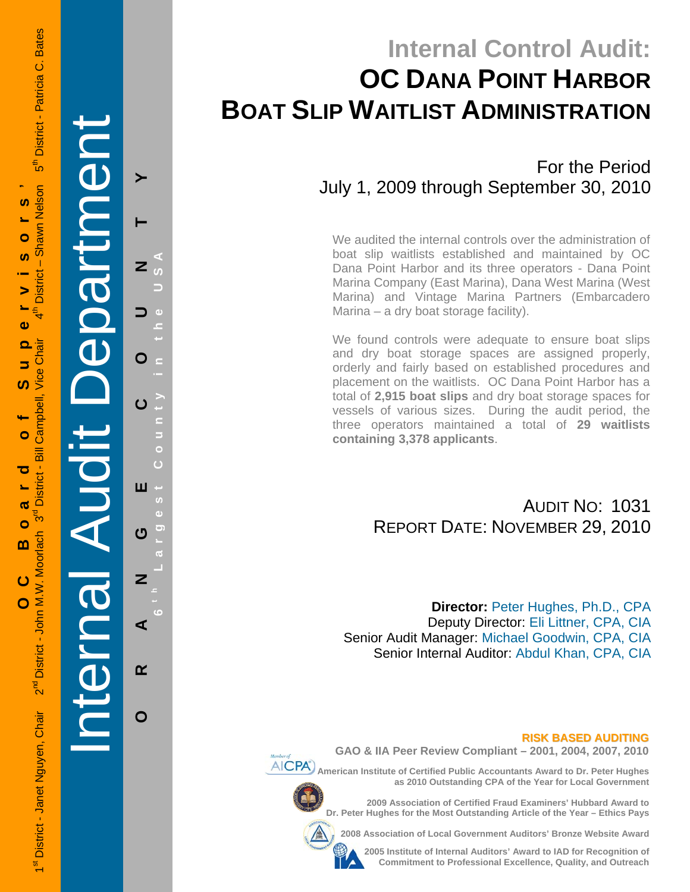Internal Audit De

partment

**ORANGE COUNTY 6 t h Lar**

ш

U

⋖

 $\alpha$ 

O

**g**

**est Count**

U

d)

Ò

Ġ

**y in the USA** 

 $\blacktriangleright$ 

Z

O

# **Internal Control Audit: OC DANA POINT HARBOR BOAT SLIP WAITLIST ADMINISTRATION**

For the Period July 1, 2009 through September 30, 2010

We audited the internal controls over the administration of boat slip waitlists established and maintained by OC Dana Point Harbor and its three operators - Dana Point Marina Company (East Marina), Dana West Marina (West Marina) and Vintage Marina Partners (Embarcadero Marina – a dry boat storage facility).

We found controls were adequate to ensure boat slips and dry boat storage spaces are assigned properly, orderly and fairly based on established procedures and placement on the waitlists. OC Dana Point Harbor has a total of **2,915 boat slips** and dry boat storage spaces for vessels of various sizes. During the audit period, the three operators maintained a total of **29 waitlists containing 3,378 applicants**.

### AUDIT NO: 1031 REPORT DATE: NOVEMBER 29, 2010

**Director:** Peter Hughes, Ph.D., CPA Deputy Director: Eli Littner, CPA, CIA Senior Audit Manager: Michael Goodwin, CPA, CIA Senior Internal Auditor: Abdul Khan, CPA, CIA

#### **RISK BASED AUDITING**

**GAO & IIA Peer Review Compliant – 2001, 2004, 2007, 2010** 

**AICPA**) American Institute of Certified Public Accountants Award to Dr. Peter Hughes **as 2010 Outstanding CPA of the Year for Local Government** 

> **2009 Association of Certified Fraud Examiners' Hubbard Award to Dr. Peter Hughes for the Most Outstanding Article of the Year – Ethics Pays**

**2008 Association of Local Government Auditors' Bronze Website Award** 



**2005 Institute of Internal Auditors' Award to IAD for Recognition of Commitment to Professional Excellence, Quality, and Outreach**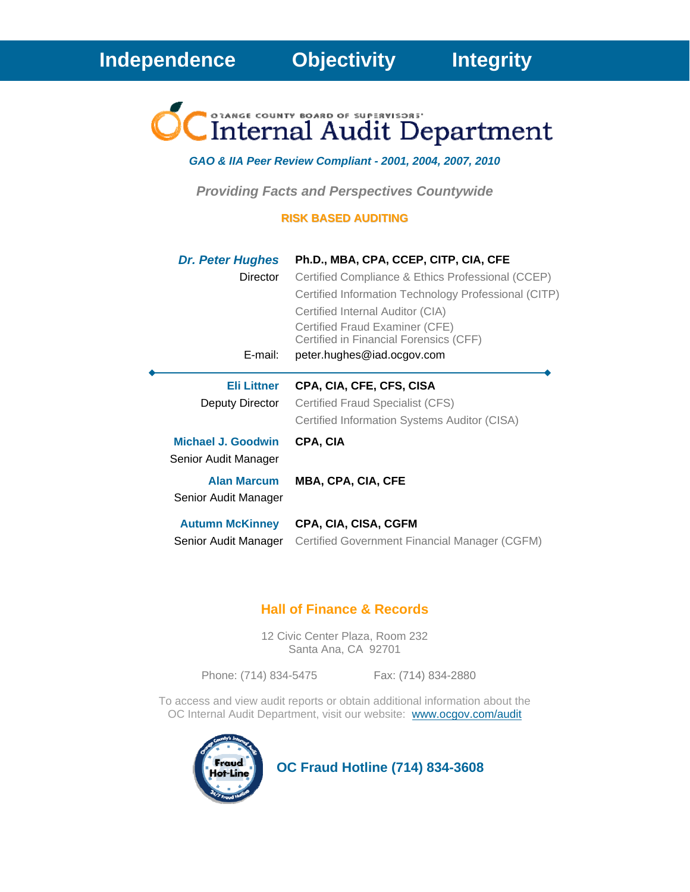

#### *GAO & IIA Peer Review Compliant - 2001, 2004, 2007, 2010*

*Providing Facts and Perspectives Countywide* 

#### **RISK BASED AUDITING**

| <b>Dr. Peter Hughes</b><br><b>Director</b><br>E-mail: | Ph.D., MBA, CPA, CCEP, CITP, CIA, CFE<br>Certified Compliance & Ethics Professional (CCEP)<br>Certified Information Technology Professional (CITP)<br>Certified Internal Auditor (CIA)<br>Certified Fraud Examiner (CFE)<br>Certified in Financial Forensics (CFF)<br>peter.hughes@iad.ocgov.com |
|-------------------------------------------------------|--------------------------------------------------------------------------------------------------------------------------------------------------------------------------------------------------------------------------------------------------------------------------------------------------|
| <b>Eli Littner</b><br>Deputy Director                 | CPA, CIA, CFE, CFS, CISA<br>Certified Fraud Specialist (CFS)<br>Certified Information Systems Auditor (CISA)                                                                                                                                                                                     |
| Michael J. Goodwin<br>Senior Audit Manager            | CPA, CIA                                                                                                                                                                                                                                                                                         |
| <b>Alan Marcum</b><br>Senior Audit Manager            | <b>MBA, CPA, CIA, CFE</b>                                                                                                                                                                                                                                                                        |
| <b>Autumn McKinney</b><br>Senior Audit Manager        | CPA, CIA, CISA, CGFM<br>Certified Government Financial Manager (CGFM)                                                                                                                                                                                                                            |

#### **Hall of Finance & Records**

12 Civic Center Plaza, Room 232 Santa Ana, CA 92701

Phone: (714) 834-5475 Fax: (714) 834-2880

To access and view audit reports or obtain additional information about the OC Internal Audit Department, visit our website: www.ocgov.com/audit



 **OC Fraud Hotline (714) 834-3608**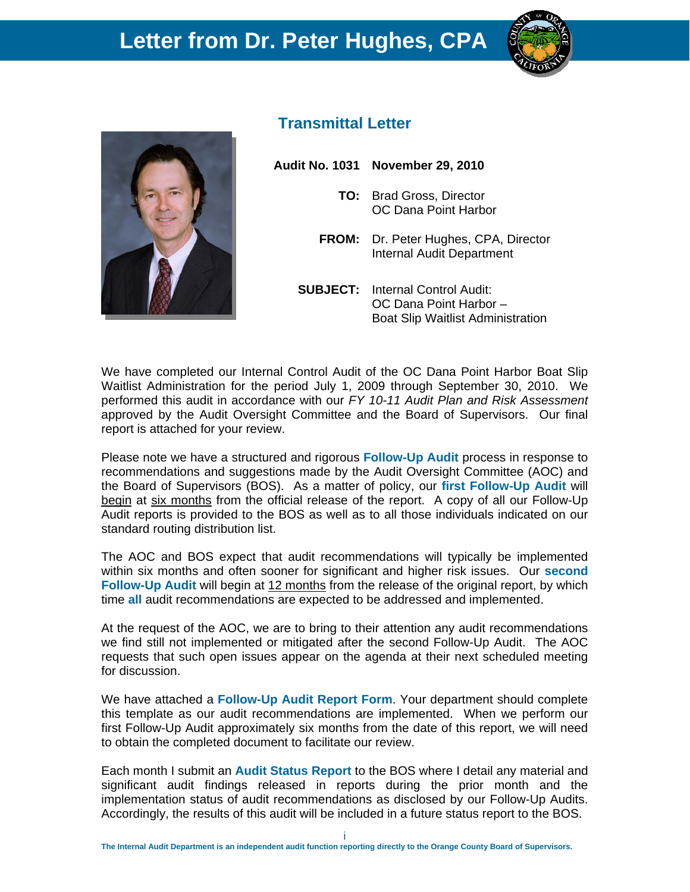



### **Transmittal Letter**

**Audit No. 1031 November 29, 2010** 

- **TO:** Brad Gross, Director OC Dana Point Harbor
- **FROM:** Dr. Peter Hughes, CPA, Director Internal Audit Department
- **SUBJECT:** Internal Control Audit: OC Dana Point Harbor – Boat Slip Waitlist Administration

We have completed our Internal Control Audit of the OC Dana Point Harbor Boat Slip Waitlist Administration for the period July 1, 2009 through September 30, 2010. We performed this audit in accordance with our *FY 10-11 Audit Plan and Risk Assessment*  approved by the Audit Oversight Committee and the Board of Supervisors. Our final report is attached for your review.

Please note we have a structured and rigorous **Follow-Up Audit** process in response to recommendations and suggestions made by the Audit Oversight Committee (AOC) and the Board of Supervisors (BOS). As a matter of policy, our **first Follow-Up Audit** will begin at six months from the official release of the report. A copy of all our Follow-Up Audit reports is provided to the BOS as well as to all those individuals indicated on our standard routing distribution list.

The AOC and BOS expect that audit recommendations will typically be implemented within six months and often sooner for significant and higher risk issues. Our **second Follow-Up Audit** will begin at 12 months from the release of the original report, by which time **all** audit recommendations are expected to be addressed and implemented.

At the request of the AOC, we are to bring to their attention any audit recommendations we find still not implemented or mitigated after the second Follow-Up Audit. The AOC requests that such open issues appear on the agenda at their next scheduled meeting for discussion.

We have attached a **Follow-Up Audit Report Form**. Your department should complete this template as our audit recommendations are implemented. When we perform our first Follow-Up Audit approximately six months from the date of this report, we will need to obtain the completed document to facilitate our review.

Each month I submit an **Audit Status Report** to the BOS where I detail any material and significant audit findings released in reports during the prior month and the implementation status of audit recommendations as disclosed by our Follow-Up Audits. Accordingly, the results of this audit will be included in a future status report to the BOS.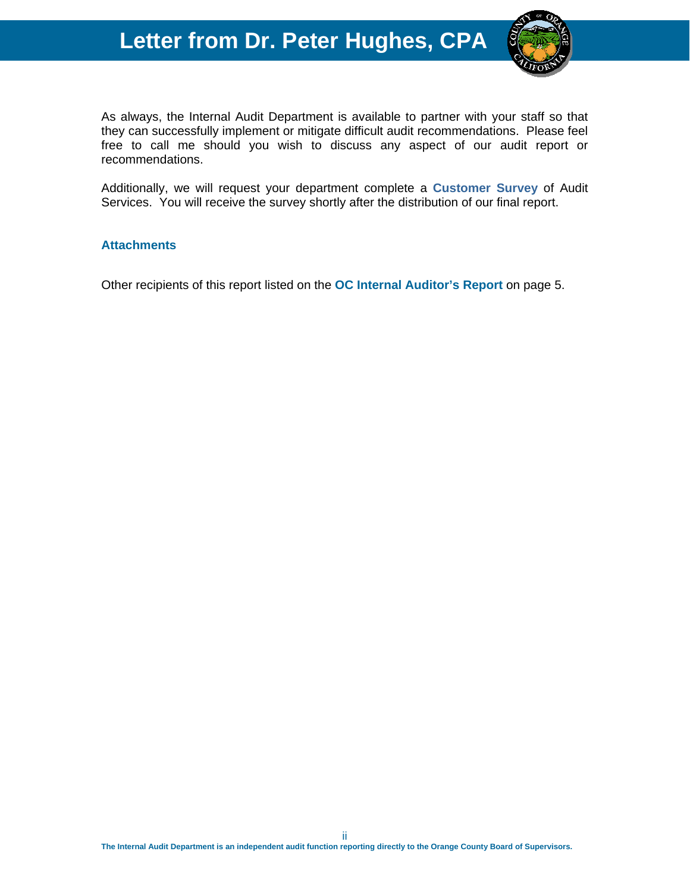# **Letter from Dr. Peter Hughes, CPA**



As always, the Internal Audit Department is available to partner with your staff so that they can successfully implement or mitigate difficult audit recommendations. Please feel free to call me should you wish to discuss any aspect of our audit report or recommendations.

Additionally, we will request your department complete a **Customer Survey** of Audit Services. You will receive the survey shortly after the distribution of our final report.

### **Attachments**

Other recipients of this report listed on the **OC Internal Auditor's Report** on page 5.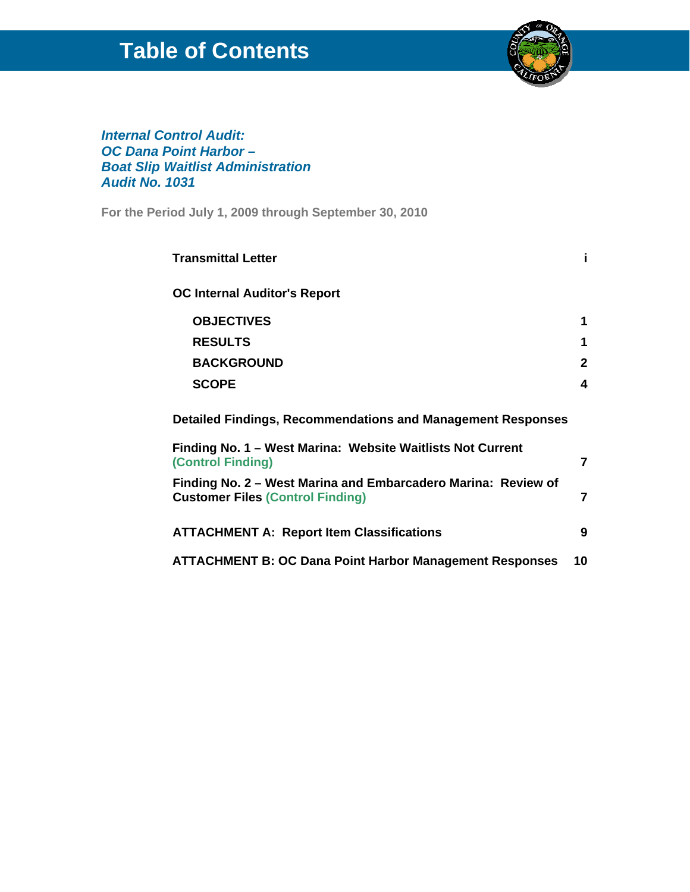# **Table of Contents**



### *Internal Control Audit: OC Dana Point Harbor – Boat Slip Waitlist Administration Audit No. 1031*

**For the Period July 1, 2009 through September 30, 2010** 

| <b>Transmittal Letter</b>                                                                                                                      |    |
|------------------------------------------------------------------------------------------------------------------------------------------------|----|
| <b>OC Internal Auditor's Report</b>                                                                                                            |    |
| <b>OBJECTIVES</b>                                                                                                                              | 1  |
| <b>RESULTS</b>                                                                                                                                 | 1  |
| <b>BACKGROUND</b>                                                                                                                              | 2  |
| <b>SCOPE</b>                                                                                                                                   | 4  |
| Detailed Findings, Recommendations and Management Responses<br>Finding No. 1 - West Marina: Website Waitlists Not Current<br>(Control Finding) | 7  |
|                                                                                                                                                |    |
| Finding No. 2 - West Marina and Embarcadero Marina: Review of<br><b>Customer Files (Control Finding)</b>                                       | 7  |
| <b>ATTACHMENT A: Report Item Classifications</b>                                                                                               | 9  |
| <b>ATTACHMENT B: OC Dana Point Harbor Management Responses</b>                                                                                 | 10 |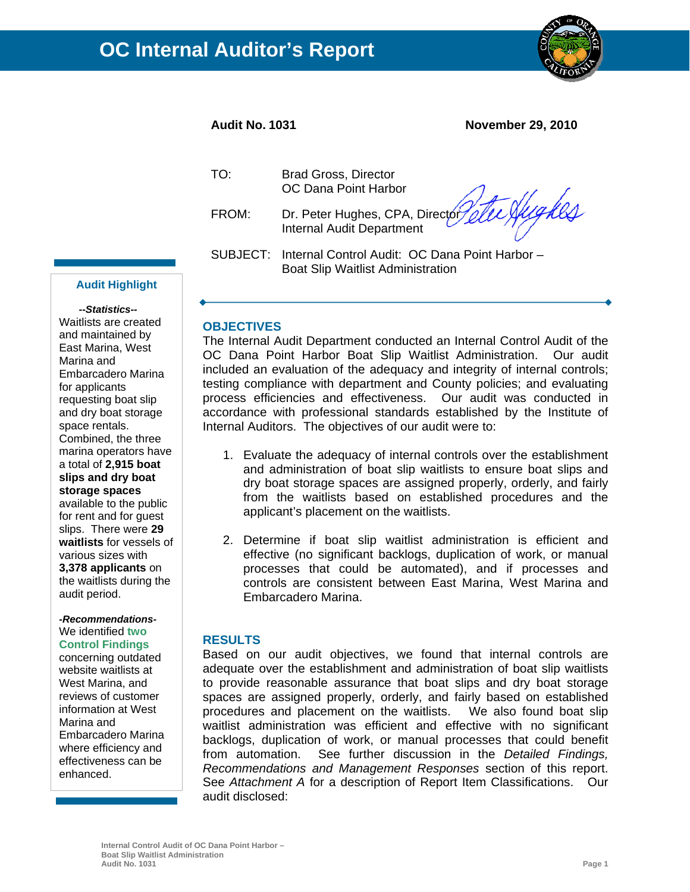

#### **Audit No. 1031 November 29, 2010**

Hughes

| TO: | <b>Brad Gross, Director</b> |
|-----|-----------------------------|
|     | OC Dana Point Harbor        |

FROM: Dr. Peter Hughes, CPA, Director Internal Audit Department

SUBJECT: Internal Control Audit: OC Dana Point Harbor – Boat Slip Waitlist Administration

#### **Audit Highlight**

 **--***Statistics--*  Waitlists are created and maintained by East Marina, West Marina and Embarcadero Marina for applicants requesting boat slip and dry boat storage space rentals. Combined, the three marina operators have a total of **2,915 boat slips and dry boat storage spaces** available to the public for rent and for quest slips. There were **29 waitlists** for vessels of various sizes with **3,378 applicants** on the waitlists during the

#### *-Recommendations-*We identified **two**

audit period.

**Control Findings** concerning outdated website waitlists at West Marina, and reviews of customer information at West Marina and Embarcadero Marina where efficiency and effectiveness can be enhanced.

#### **OBJECTIVES**

The Internal Audit Department conducted an Internal Control Audit of the OC Dana Point Harbor Boat Slip Waitlist Administration. Our audit included an evaluation of the adequacy and integrity of internal controls; testing compliance with department and County policies; and evaluating process efficiencies and effectiveness. Our audit was conducted in accordance with professional standards established by the Institute of Internal Auditors. The objectives of our audit were to:

- 1. Evaluate the adequacy of internal controls over the establishment and administration of boat slip waitlists to ensure boat slips and dry boat storage spaces are assigned properly, orderly, and fairly from the waitlists based on established procedures and the applicant's placement on the waitlists.
- 2. Determine if boat slip waitlist administration is efficient and effective (no significant backlogs, duplication of work, or manual processes that could be automated), and if processes and controls are consistent between East Marina, West Marina and Embarcadero Marina.

#### **RESULTS**

Based on our audit objectives, we found that internal controls are adequate over the establishment and administration of boat slip waitlists to provide reasonable assurance that boat slips and dry boat storage spaces are assigned properly, orderly, and fairly based on established procedures and placement on the waitlists. We also found boat slip waitlist administration was efficient and effective with no significant backlogs, duplication of work, or manual processes that could benefit from automation. See further discussion in the *Detailed Findings, Recommendations and Management Responses* section of this report. See *Attachment A* for a description of Report Item Classifications. Our audit disclosed: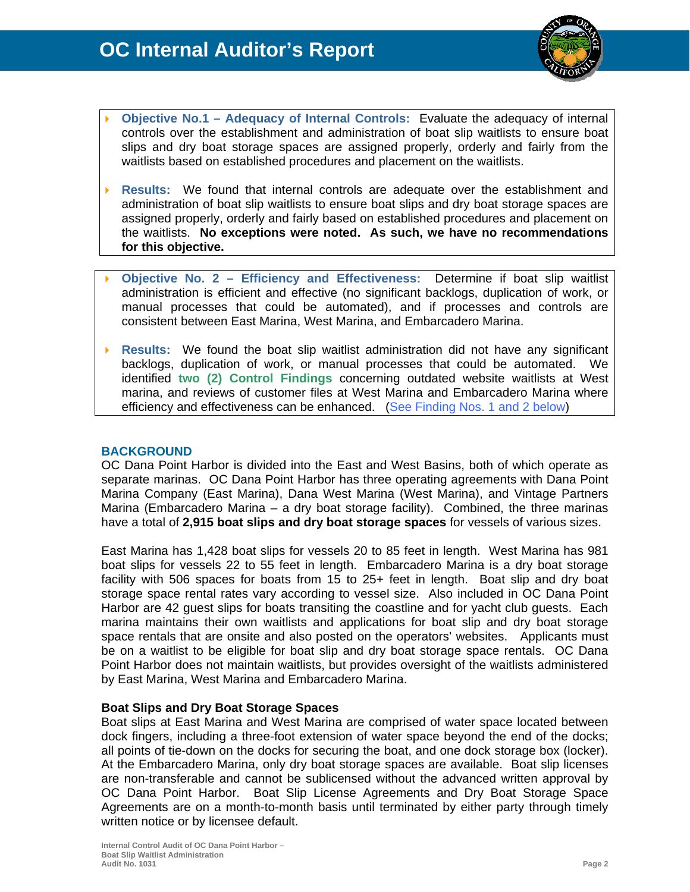

- **Objective No.1 Adequacy of Internal Controls:** Evaluate the adequacy of internal controls over the establishment and administration of boat slip waitlists to ensure boat slips and dry boat storage spaces are assigned properly, orderly and fairly from the waitlists based on established procedures and placement on the waitlists.
- **Results:** We found that internal controls are adequate over the establishment and administration of boat slip waitlists to ensure boat slips and dry boat storage spaces are assigned properly, orderly and fairly based on established procedures and placement on the waitlists. **No exceptions were noted. As such, we have no recommendations for this objective.**
- **Objective No. 2 Efficiency and Effectiveness:** Determine if boat slip waitlist administration is efficient and effective (no significant backlogs, duplication of work, or manual processes that could be automated), and if processes and controls are consistent between East Marina, West Marina, and Embarcadero Marina.
- **Results:** We found the boat slip waitlist administration did not have any significant backlogs, duplication of work, or manual processes that could be automated. We identified **two (2) Control Findings** concerning outdated website waitlists at West marina, and reviews of customer files at West Marina and Embarcadero Marina where efficiency and effectiveness can be enhanced. (See Finding Nos. 1 and 2 below)

#### **BACKGROUND**

OC Dana Point Harbor is divided into the East and West Basins, both of which operate as separate marinas. OC Dana Point Harbor has three operating agreements with Dana Point Marina Company (East Marina), Dana West Marina (West Marina), and Vintage Partners Marina (Embarcadero Marina – a dry boat storage facility). Combined, the three marinas have a total of **2,915 boat slips and dry boat storage spaces** for vessels of various sizes.

East Marina has 1,428 boat slips for vessels 20 to 85 feet in length. West Marina has 981 boat slips for vessels 22 to 55 feet in length. Embarcadero Marina is a dry boat storage facility with 506 spaces for boats from 15 to 25+ feet in length. Boat slip and dry boat storage space rental rates vary according to vessel size. Also included in OC Dana Point Harbor are 42 guest slips for boats transiting the coastline and for yacht club guests. Each marina maintains their own waitlists and applications for boat slip and dry boat storage space rentals that are onsite and also posted on the operators' websites. Applicants must be on a waitlist to be eligible for boat slip and dry boat storage space rentals. OC Dana Point Harbor does not maintain waitlists, but provides oversight of the waitlists administered by East Marina, West Marina and Embarcadero Marina.

#### **Boat Slips and Dry Boat Storage Spaces**

Boat slips at East Marina and West Marina are comprised of water space located between dock fingers, including a three-foot extension of water space beyond the end of the docks; all points of tie-down on the docks for securing the boat, and one dock storage box (locker). At the Embarcadero Marina, only dry boat storage spaces are available. Boat slip licenses are non-transferable and cannot be sublicensed without the advanced written approval by OC Dana Point Harbor. Boat Slip License Agreements and Dry Boat Storage Space Agreements are on a month-to-month basis until terminated by either party through timely written notice or by licensee default.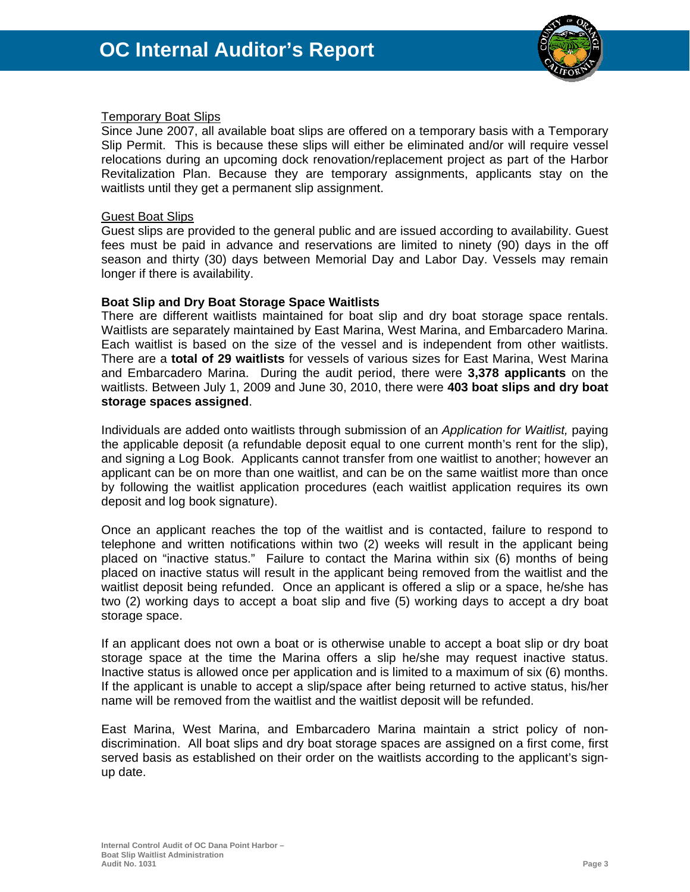

#### Temporary Boat Slips

Since June 2007, all available boat slips are offered on a temporary basis with a Temporary Slip Permit. This is because these slips will either be eliminated and/or will require vessel relocations during an upcoming dock renovation/replacement project as part of the Harbor Revitalization Plan. Because they are temporary assignments, applicants stay on the waitlists until they get a permanent slip assignment.

#### Guest Boat Slips

Guest slips are provided to the general public and are issued according to availability. Guest fees must be paid in advance and reservations are limited to ninety (90) days in the off season and thirty (30) days between Memorial Day and Labor Day. Vessels may remain longer if there is availability.

#### **Boat Slip and Dry Boat Storage Space Waitlists**

There are different waitlists maintained for boat slip and dry boat storage space rentals. Waitlists are separately maintained by East Marina, West Marina, and Embarcadero Marina. Each waitlist is based on the size of the vessel and is independent from other waitlists. There are a **total of 29 waitlists** for vessels of various sizes for East Marina, West Marina and Embarcadero Marina. During the audit period, there were **3,378 applicants** on the waitlists. Between July 1, 2009 and June 30, 2010, there were **403 boat slips and dry boat storage spaces assigned**.

Individuals are added onto waitlists through submission of an *Application for Waitlist,* paying the applicable deposit (a refundable deposit equal to one current month's rent for the slip), and signing a Log Book. Applicants cannot transfer from one waitlist to another; however an applicant can be on more than one waitlist, and can be on the same waitlist more than once by following the waitlist application procedures (each waitlist application requires its own deposit and log book signature).

Once an applicant reaches the top of the waitlist and is contacted, failure to respond to telephone and written notifications within two (2) weeks will result in the applicant being placed on "inactive status." Failure to contact the Marina within six (6) months of being placed on inactive status will result in the applicant being removed from the waitlist and the waitlist deposit being refunded. Once an applicant is offered a slip or a space, he/she has two (2) working days to accept a boat slip and five (5) working days to accept a dry boat storage space.

If an applicant does not own a boat or is otherwise unable to accept a boat slip or dry boat storage space at the time the Marina offers a slip he/she may request inactive status. Inactive status is allowed once per application and is limited to a maximum of six (6) months. If the applicant is unable to accept a slip/space after being returned to active status, his/her name will be removed from the waitlist and the waitlist deposit will be refunded.

East Marina, West Marina, and Embarcadero Marina maintain a strict policy of nondiscrimination. All boat slips and dry boat storage spaces are assigned on a first come, first served basis as established on their order on the waitlists according to the applicant's signup date.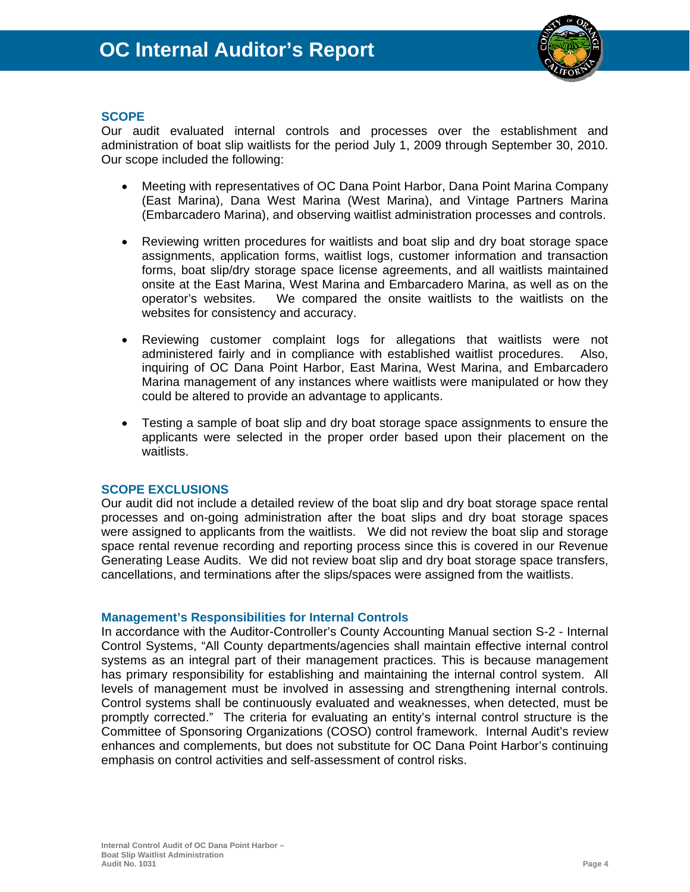

#### **SCOPE**

Our audit evaluated internal controls and processes over the establishment and administration of boat slip waitlists for the period July 1, 2009 through September 30, 2010. Our scope included the following:

- Meeting with representatives of OC Dana Point Harbor, Dana Point Marina Company (East Marina), Dana West Marina (West Marina), and Vintage Partners Marina (Embarcadero Marina), and observing waitlist administration processes and controls.
- Reviewing written procedures for waitlists and boat slip and dry boat storage space assignments, application forms, waitlist logs, customer information and transaction forms, boat slip/dry storage space license agreements, and all waitlists maintained onsite at the East Marina, West Marina and Embarcadero Marina, as well as on the operator's websites. We compared the onsite waitlists to the waitlists on the websites for consistency and accuracy.
- Reviewing customer complaint logs for allegations that waitlists were not administered fairly and in compliance with established waitlist procedures. Also, inquiring of OC Dana Point Harbor, East Marina, West Marina, and Embarcadero Marina management of any instances where waitlists were manipulated or how they could be altered to provide an advantage to applicants.
- Testing a sample of boat slip and dry boat storage space assignments to ensure the applicants were selected in the proper order based upon their placement on the waitlists.

#### **SCOPE EXCLUSIONS**

Our audit did not include a detailed review of the boat slip and dry boat storage space rental processes and on-going administration after the boat slips and dry boat storage spaces were assigned to applicants from the waitlists. We did not review the boat slip and storage space rental revenue recording and reporting process since this is covered in our Revenue Generating Lease Audits. We did not review boat slip and dry boat storage space transfers, cancellations, and terminations after the slips/spaces were assigned from the waitlists.

#### **Management's Responsibilities for Internal Controls**

In accordance with the Auditor-Controller's County Accounting Manual section S-2 - Internal Control Systems, "All County departments/agencies shall maintain effective internal control systems as an integral part of their management practices. This is because management has primary responsibility for establishing and maintaining the internal control system. All levels of management must be involved in assessing and strengthening internal controls. Control systems shall be continuously evaluated and weaknesses, when detected, must be promptly corrected." The criteria for evaluating an entity's internal control structure is the Committee of Sponsoring Organizations (COSO) control framework. Internal Audit's review enhances and complements, but does not substitute for OC Dana Point Harbor's continuing emphasis on control activities and self-assessment of control risks.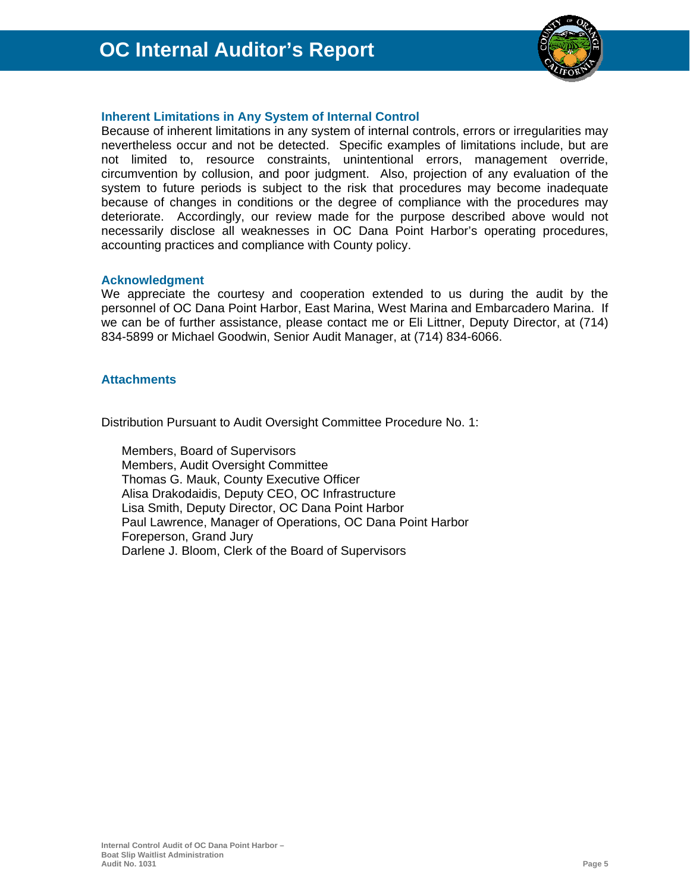

#### **Inherent Limitations in Any System of Internal Control**

Because of inherent limitations in any system of internal controls, errors or irregularities may nevertheless occur and not be detected. Specific examples of limitations include, but are not limited to, resource constraints, unintentional errors, management override, circumvention by collusion, and poor judgment. Also, projection of any evaluation of the system to future periods is subject to the risk that procedures may become inadequate because of changes in conditions or the degree of compliance with the procedures may deteriorate. Accordingly, our review made for the purpose described above would not necessarily disclose all weaknesses in OC Dana Point Harbor's operating procedures, accounting practices and compliance with County policy.

#### **Acknowledgment**

We appreciate the courtesy and cooperation extended to us during the audit by the personnel of OC Dana Point Harbor, East Marina, West Marina and Embarcadero Marina. If we can be of further assistance, please contact me or Eli Littner, Deputy Director, at (714) 834-5899 or Michael Goodwin, Senior Audit Manager, at (714) 834-6066.

#### **Attachments**

Distribution Pursuant to Audit Oversight Committee Procedure No. 1:

Members, Board of Supervisors Members, Audit Oversight Committee Thomas G. Mauk, County Executive Officer Alisa Drakodaidis, Deputy CEO, OC Infrastructure Lisa Smith, Deputy Director, OC Dana Point Harbor Paul Lawrence, Manager of Operations, OC Dana Point Harbor Foreperson, Grand Jury Darlene J. Bloom, Clerk of the Board of Supervisors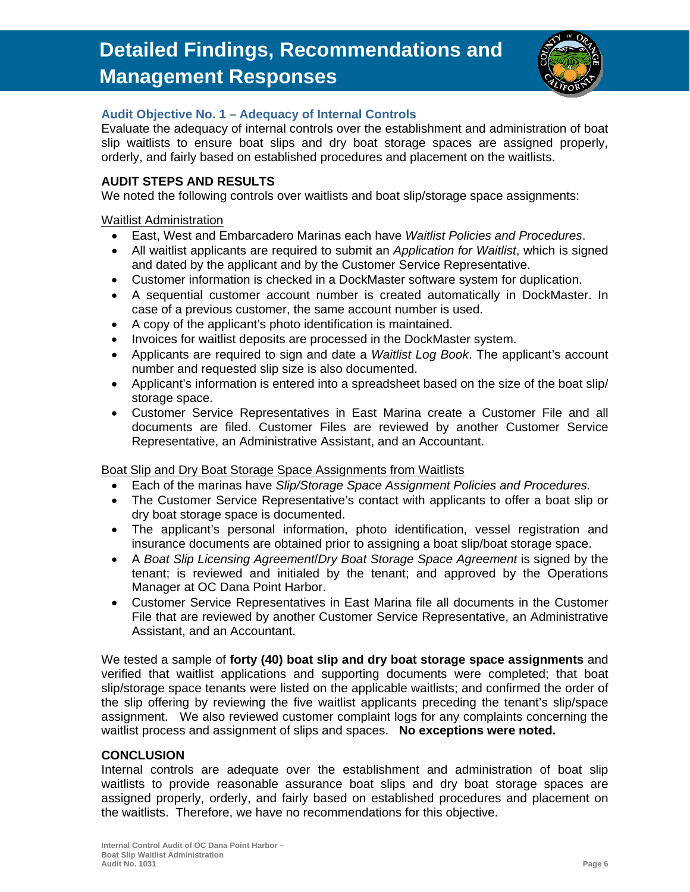

#### **Audit Objective No. 1 – Adequacy of Internal Controls**

Evaluate the adequacy of internal controls over the establishment and administration of boat slip waitlists to ensure boat slips and dry boat storage spaces are assigned properly, orderly, and fairly based on established procedures and placement on the waitlists.

#### **AUDIT STEPS AND RESULTS**

We noted the following controls over waitlists and boat slip/storage space assignments:

#### Waitlist Administration

- East, West and Embarcadero Marinas each have *Waitlist Policies and Procedures*.
- All waitlist applicants are required to submit an *Application for Waitlist*, which is signed and dated by the applicant and by the Customer Service Representative.
- Customer information is checked in a DockMaster software system for duplication.
- A sequential customer account number is created automatically in DockMaster. In case of a previous customer, the same account number is used.
- A copy of the applicant's photo identification is maintained.
- Invoices for waitlist deposits are processed in the DockMaster system.
- Applicants are required to sign and date a *Waitlist Log Book*. The applicant's account number and requested slip size is also documented.
- Applicant's information is entered into a spreadsheet based on the size of the boat slip/ storage space.
- Customer Service Representatives in East Marina create a Customer File and all documents are filed. Customer Files are reviewed by another Customer Service Representative, an Administrative Assistant, and an Accountant.

#### Boat Slip and Dry Boat Storage Space Assignments from Waitlists

- Each of the marinas have *Slip/Storage Space Assignment Policies and Procedures.*
- The Customer Service Representative's contact with applicants to offer a boat slip or dry boat storage space is documented.
- The applicant's personal information, photo identification, vessel registration and insurance documents are obtained prior to assigning a boat slip/boat storage space.
- A *Boat Slip Licensing Agreement*/*Dry Boat Storage Space Agreement* is signed by the tenant; is reviewed and initialed by the tenant; and approved by the Operations Manager at OC Dana Point Harbor.
- Customer Service Representatives in East Marina file all documents in the Customer File that are reviewed by another Customer Service Representative, an Administrative Assistant, and an Accountant.

We tested a sample of **forty (40) boat slip and dry boat storage space assignments** and verified that waitlist applications and supporting documents were completed; that boat slip/storage space tenants were listed on the applicable waitlists; and confirmed the order of the slip offering by reviewing the five waitlist applicants preceding the tenant's slip/space assignment. We also reviewed customer complaint logs for any complaints concerning the waitlist process and assignment of slips and spaces. **No exceptions were noted.**

#### **CONCLUSION**

Internal controls are adequate over the establishment and administration of boat slip waitlists to provide reasonable assurance boat slips and dry boat storage spaces are assigned properly, orderly, and fairly based on established procedures and placement on the waitlists. Therefore, we have no recommendations for this objective.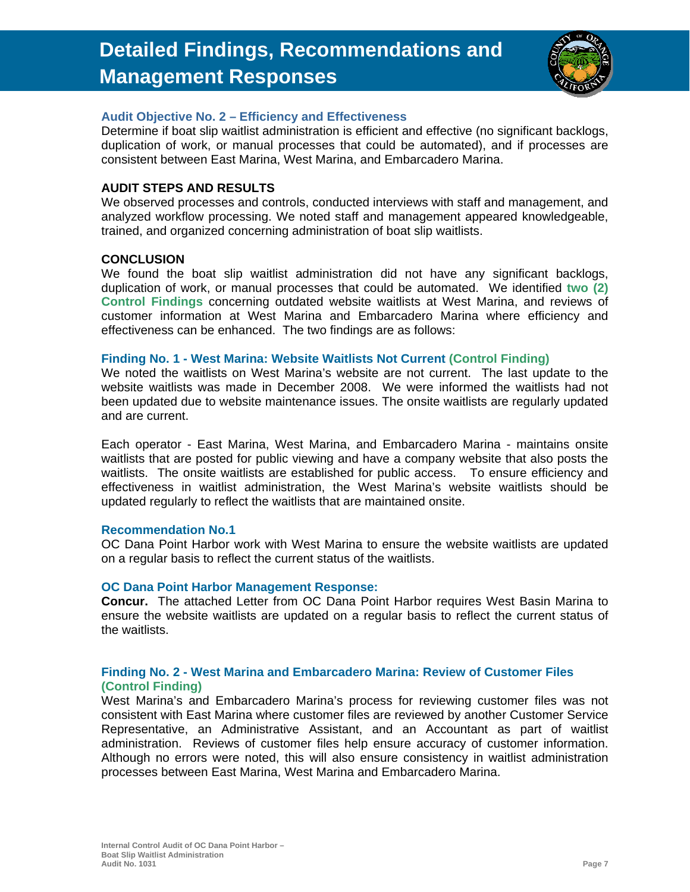

#### **Audit Objective No. 2 – Efficiency and Effectiveness**

Determine if boat slip waitlist administration is efficient and effective (no significant backlogs, duplication of work, or manual processes that could be automated), and if processes are consistent between East Marina, West Marina, and Embarcadero Marina.

#### **AUDIT STEPS AND RESULTS**

We observed processes and controls, conducted interviews with staff and management, and analyzed workflow processing. We noted staff and management appeared knowledgeable, trained, and organized concerning administration of boat slip waitlists.

#### **CONCLUSION**

We found the boat slip waitlist administration did not have any significant backlogs, duplication of work, or manual processes that could be automated. We identified **two (2) Control Findings** concerning outdated website waitlists at West Marina, and reviews of customer information at West Marina and Embarcadero Marina where efficiency and effectiveness can be enhanced. The two findings are as follows:

#### **Finding No. 1 - West Marina: Website Waitlists Not Current (Control Finding)**

We noted the waitlists on West Marina's website are not current. The last update to the website waitlists was made in December 2008. We were informed the waitlists had not been updated due to website maintenance issues. The onsite waitlists are regularly updated and are current.

Each operator - East Marina, West Marina, and Embarcadero Marina - maintains onsite waitlists that are posted for public viewing and have a company website that also posts the waitlists. The onsite waitlists are established for public access. To ensure efficiency and effectiveness in waitlist administration, the West Marina's website waitlists should be updated regularly to reflect the waitlists that are maintained onsite.

#### **Recommendation No.1**

OC Dana Point Harbor work with West Marina to ensure the website waitlists are updated on a regular basis to reflect the current status of the waitlists.

#### **OC Dana Point Harbor Management Response:**

**Concur.** The attached Letter from OC Dana Point Harbor requires West Basin Marina to ensure the website waitlists are updated on a regular basis to reflect the current status of the waitlists.

#### **Finding No. 2 - West Marina and Embarcadero Marina: Review of Customer Files (Control Finding)**

West Marina's and Embarcadero Marina's process for reviewing customer files was not consistent with East Marina where customer files are reviewed by another Customer Service Representative, an Administrative Assistant, and an Accountant as part of waitlist administration. Reviews of customer files help ensure accuracy of customer information. Although no errors were noted, this will also ensure consistency in waitlist administration processes between East Marina, West Marina and Embarcadero Marina.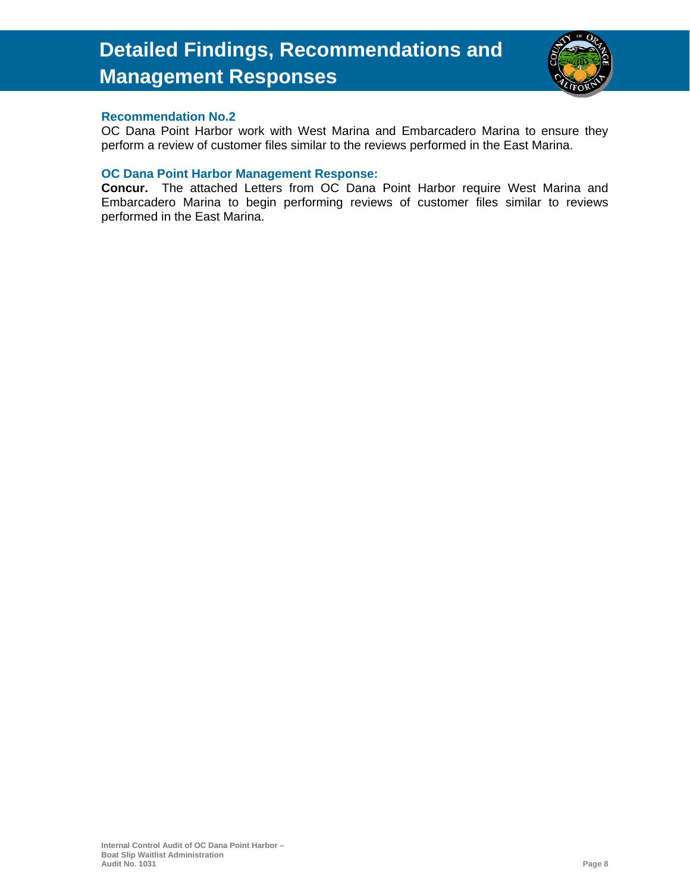

#### **Recommendation No.2**

OC Dana Point Harbor work with West Marina and Embarcadero Marina to ensure they perform a review of customer files similar to the reviews performed in the East Marina.

#### **OC Dana Point Harbor Management Response:**

**Concur.** The attached Letters from OC Dana Point Harbor require West Marina and Embarcadero Marina to begin performing reviews of customer files similar to reviews performed in the East Marina.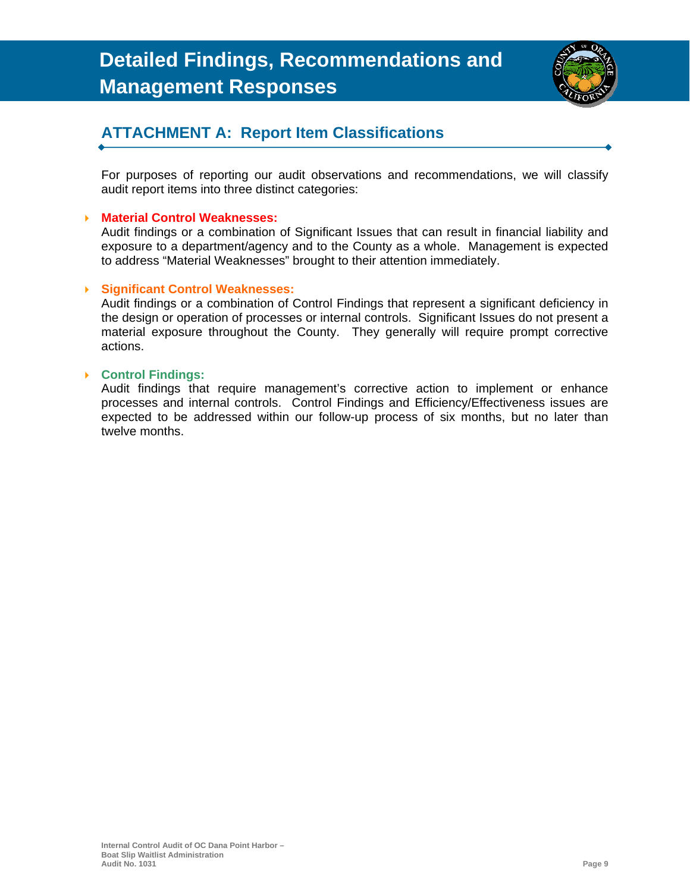

### **ATTACHMENT A: Report Item Classifications**

For purposes of reporting our audit observations and recommendations, we will classify audit report items into three distinct categories:

#### **Material Control Weaknesses:**

Audit findings or a combination of Significant Issues that can result in financial liability and exposure to a department/agency and to the County as a whole. Management is expected to address "Material Weaknesses" brought to their attention immediately.

#### **Significant Control Weaknesses:**

Audit findings or a combination of Control Findings that represent a significant deficiency in the design or operation of processes or internal controls. Significant Issues do not present a material exposure throughout the County. They generally will require prompt corrective actions.

#### **Control Findings:**

Audit findings that require management's corrective action to implement or enhance processes and internal controls. Control Findings and Efficiency/Effectiveness issues are expected to be addressed within our follow-up process of six months, but no later than twelve months.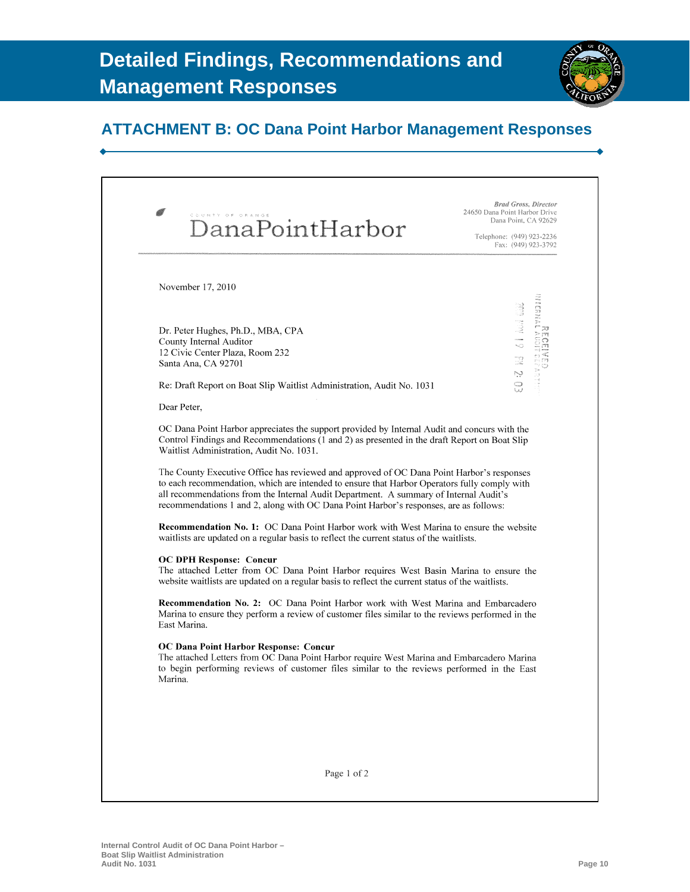

### **ATTACHMENT B: OC Dana Point Harbor Management Responses**

| COUNTY OF ORANGE<br>DanaPointHarbor                                                                                                                                                                                                                                                                                                                                                                                                                                                                                                                                                                                      | <b>Brad Gross, Director</b><br>24650 Dana Point Harbor Drive<br>Dana Point, CA 92629<br>Telephone: (949) 923-2236<br>Fax: (949) 923-3792 |
|--------------------------------------------------------------------------------------------------------------------------------------------------------------------------------------------------------------------------------------------------------------------------------------------------------------------------------------------------------------------------------------------------------------------------------------------------------------------------------------------------------------------------------------------------------------------------------------------------------------------------|------------------------------------------------------------------------------------------------------------------------------------------|
| November 17, 2010                                                                                                                                                                                                                                                                                                                                                                                                                                                                                                                                                                                                        |                                                                                                                                          |
|                                                                                                                                                                                                                                                                                                                                                                                                                                                                                                                                                                                                                          | Maain                                                                                                                                    |
|                                                                                                                                                                                                                                                                                                                                                                                                                                                                                                                                                                                                                          | 61 Auil Gau                                                                                                                              |
| Dr. Peter Hughes, Ph.D., MBA, CPA                                                                                                                                                                                                                                                                                                                                                                                                                                                                                                                                                                                        |                                                                                                                                          |
| County Internal Auditor<br>12 Civic Center Plaza, Room 232                                                                                                                                                                                                                                                                                                                                                                                                                                                                                                                                                               |                                                                                                                                          |
| Santa Ana, CA 92701                                                                                                                                                                                                                                                                                                                                                                                                                                                                                                                                                                                                      | ta<br>Ro                                                                                                                                 |
| Re: Draft Report on Boat Slip Waitlist Administration, Audit No. 1031                                                                                                                                                                                                                                                                                                                                                                                                                                                                                                                                                    | Ņ<br>O<br>W                                                                                                                              |
| Dear Peter,                                                                                                                                                                                                                                                                                                                                                                                                                                                                                                                                                                                                              |                                                                                                                                          |
| Control Findings and Recommendations (1 and 2) as presented in the draft Report on Boat Slip<br>Waitlist Administration, Audit No. 1031.<br>The County Executive Office has reviewed and approved of OC Dana Point Harbor's responses<br>to each recommendation, which are intended to ensure that Harbor Operators fully comply with<br>all recommendations from the Internal Audit Department. A summary of Internal Audit's<br>recommendations 1 and 2, along with OC Dana Point Harbor's responses, are as follows:<br><b>Recommendation No. 1:</b> OC Dana Point Harbor work with West Marina to ensure the website |                                                                                                                                          |
|                                                                                                                                                                                                                                                                                                                                                                                                                                                                                                                                                                                                                          |                                                                                                                                          |
| waitlists are updated on a regular basis to reflect the current status of the waitlists.<br>The attached Letter from OC Dana Point Harbor requires West Basin Marina to ensure the                                                                                                                                                                                                                                                                                                                                                                                                                                       |                                                                                                                                          |
|                                                                                                                                                                                                                                                                                                                                                                                                                                                                                                                                                                                                                          |                                                                                                                                          |
| <b>OC DPH Response: Concur</b><br>website waitlists are updated on a regular basis to reflect the current status of the waitlists.<br><b>Recommendation No. 2:</b> OC Dana Point Harbor work with West Marina and Embarcadero<br>Marina to ensure they perform a review of customer files similar to the reviews performed in the<br>East Marina.<br><b>OC Dana Point Harbor Response: Concur</b><br>The attached Letters from OC Dana Point Harbor require West Marina and Embarcadero Marina<br>to begin performing reviews of customer files similar to the reviews performed in the East<br>Marina.                  |                                                                                                                                          |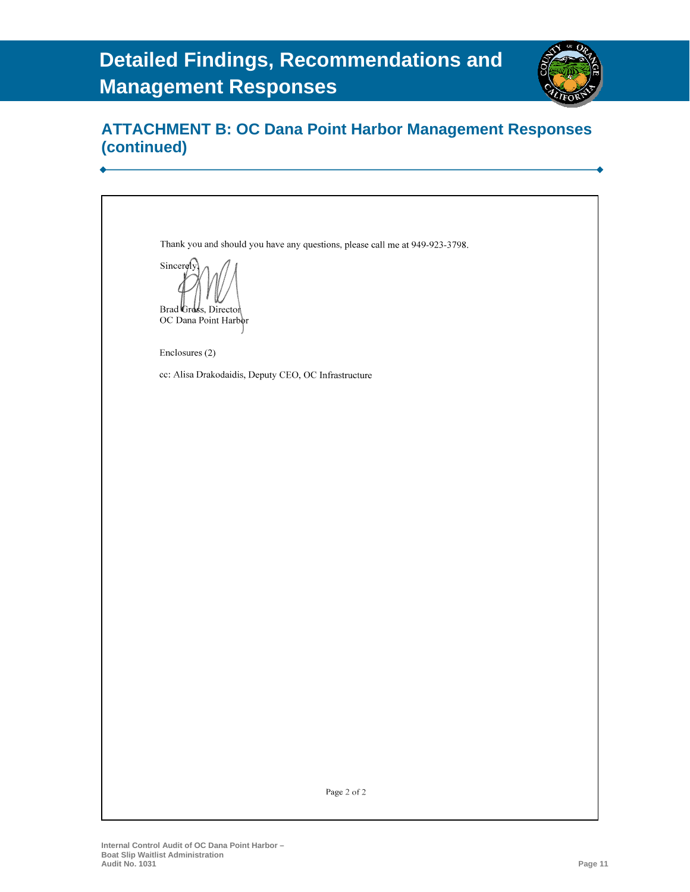

### **ATTACHMENT B: OC Dana Point Harbor Management Responses (continued)**

Thank you and should you have any questions, please call me at 949-923-3798. Sincerely Brad Gross, Director OC Dana Point Harbor Enclosures (2) cc: Alisa Drakodaidis, Deputy CEO, OC Infrastructure

Page 2 of  $2\,$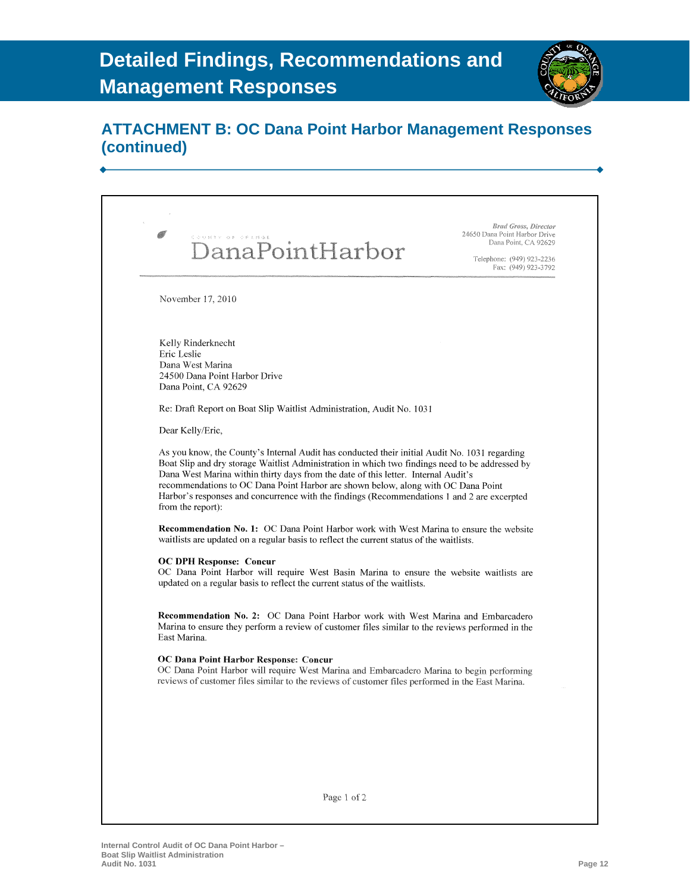

### **ATTACHMENT B: OC Dana Point Harbor Management Responses (continued)**

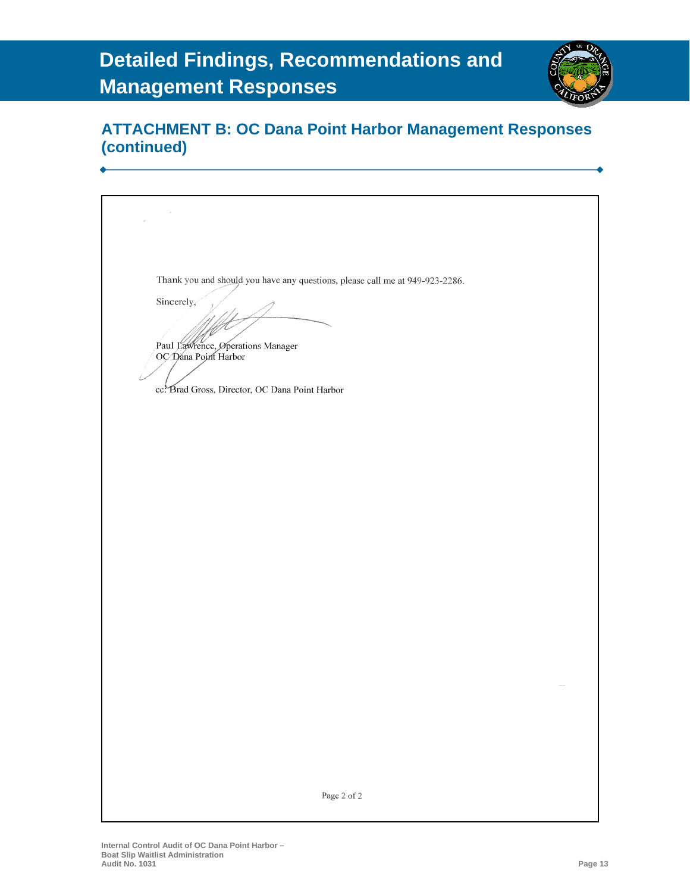

### **ATTACHMENT B: OC Dana Point Harbor Management Responses (continued)**

Thank you and should you have any questions, please call me at 949-923-2286. Sincerely, Paul Lawrence, Operations Manager OC Dana Point Harbor cc: Brad Gross, Director, OC Dana Point Harbor Page 2 of 2